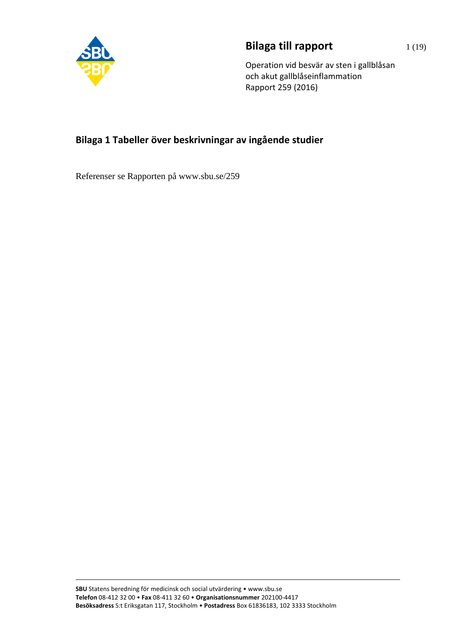

## **Bilaga till rapport** 1(19)

Operation vid besvär av sten i gallblåsan och akut gallblåseinflammation Rapport 259 (2016)

## **Bilaga 1 Tabeller över beskrivningar av ingående studier**

Referenser se Rapporten på www.sbu.se/259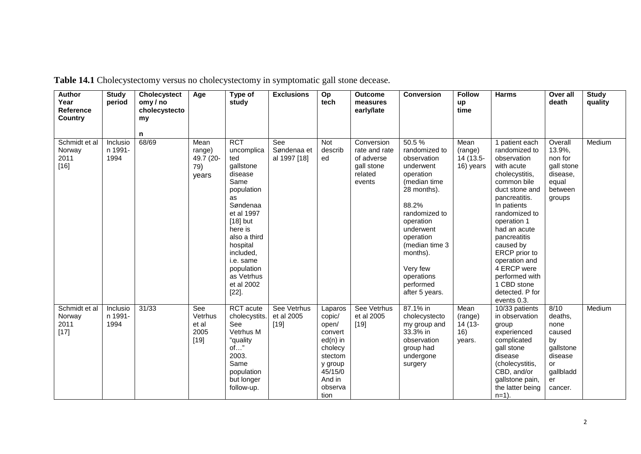| <b>Author</b><br>Year<br>Reference<br><b>Country</b> | <b>Study</b><br>period      | <b>Cholecystect</b><br>omy / no<br>cholecystecto<br>my | Age                                         | Type of<br>study                                                                                                                                                                                                                                   | <b>Exclusions</b>                   | Op<br>tech                                                                                                                   | <b>Outcome</b><br>measures<br>early/late                                     | <b>Conversion</b>                                                                                                                                                                                                                                       | <b>Follow</b><br>up<br>time                 | <b>Harms</b>                                                                                                                                                                                                                                                                                                                                     | Over all<br>death                                                                                   | <b>Study</b><br>quality |
|------------------------------------------------------|-----------------------------|--------------------------------------------------------|---------------------------------------------|----------------------------------------------------------------------------------------------------------------------------------------------------------------------------------------------------------------------------------------------------|-------------------------------------|------------------------------------------------------------------------------------------------------------------------------|------------------------------------------------------------------------------|---------------------------------------------------------------------------------------------------------------------------------------------------------------------------------------------------------------------------------------------------------|---------------------------------------------|--------------------------------------------------------------------------------------------------------------------------------------------------------------------------------------------------------------------------------------------------------------------------------------------------------------------------------------------------|-----------------------------------------------------------------------------------------------------|-------------------------|
|                                                      |                             | n                                                      |                                             |                                                                                                                                                                                                                                                    |                                     |                                                                                                                              |                                                                              |                                                                                                                                                                                                                                                         |                                             |                                                                                                                                                                                                                                                                                                                                                  |                                                                                                     |                         |
| Schmidt et al<br>Norway<br>2011<br>$[16]$            | Inclusio<br>n 1991-<br>1994 | 68/69                                                  | Mean<br>range)<br>49.7 (20-<br>79)<br>years | <b>RCT</b><br>uncomplica<br>ted<br>gallstone<br>disease<br>Same<br>population<br>as<br>Søndenaa<br>et al 1997<br>$[18]$ but<br>here is<br>also a third<br>hospital<br>included,<br>i.e. same<br>population<br>as Vetrhus<br>et al 2002<br>$[22]$ . | See<br>Søndenaa et<br>al 1997 [18]  | Not<br>describ<br>ed                                                                                                         | Conversion<br>rate and rate<br>of adverse<br>gall stone<br>related<br>events | 50.5 %<br>randomized to<br>observation<br>underwent<br>operation<br>(median time<br>28 months).<br>88.2%<br>randomized to<br>operation<br>underwent<br>operation<br>(median time 3<br>months).<br>Very few<br>operations<br>performed<br>after 5 years. | Mean<br>(range)<br>14 (13.5-<br>16) years   | 1 patient each<br>randomized to<br>observation<br>with acute<br>cholecystitis,<br>common bile<br>duct stone and<br>pancreatitis.<br>In patients<br>randomized to<br>operation 1<br>had an acute<br>pancreatitis<br>caused by<br>ERCP prior to<br>operation and<br>4 ERCP were<br>performed with<br>1 CBD stone<br>detected. P for<br>events 0.3. | Overall<br>13.9%,<br>non for<br>gall stone<br>disease,<br>equal<br>between<br>groups                | Medium                  |
| Schmidt et al<br>Norway<br>2011<br>$[17]$            | Inclusio<br>n 1991-<br>1994 | 31/33                                                  | See<br>Vetrhus<br>et al<br>2005<br>$[19]$   | <b>RCT</b> acute<br>cholecystits.<br>See<br>Vetrhus M<br>"quality<br>$of$ "<br>2003.<br>Same<br>population<br>but longer<br>follow-up.                                                                                                             | See Vetrhus<br>et al 2005<br>$[19]$ | Laparos<br>copic/<br>open/<br>convert<br>$ed(n)$ in<br>cholecy<br>stectom<br>y group<br>45/15/0<br>And in<br>observa<br>tion | See Vetrhus<br>et al 2005<br>$[19]$                                          | 87.1% in<br>cholecystecto<br>my group and<br>33.3% in<br>observation<br>group had<br>undergone<br>surgery                                                                                                                                               | Mean<br>(range)<br>14 (13-<br>16)<br>years. | 10/33 patients<br>in observation<br>group<br>experienced<br>complicated<br>gall stone<br>disease<br>(cholecystitis,<br>CBD, and/or<br>gallstone pain,<br>the latter being<br>$n=1$ ).                                                                                                                                                            | 8/10<br>deaths,<br>none<br>caused<br>by<br>gallstone<br>disease<br>or<br>gallbladd<br>er<br>cancer. | Medium                  |

**Table 14.1** Cholecystectomy versus no cholecystectomy in symptomatic gall stone decease.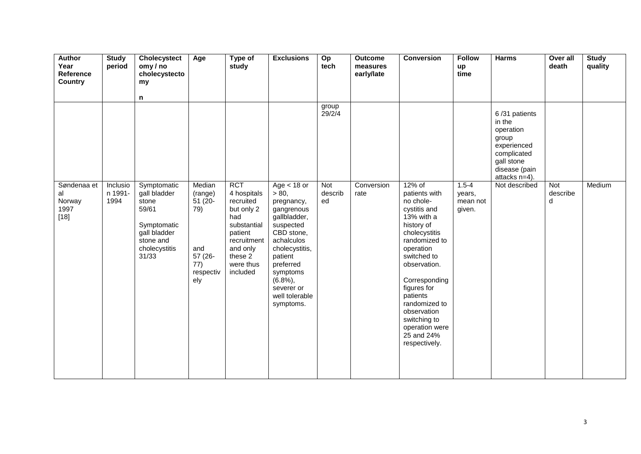| <b>Author</b><br>Year<br>Reference            | <b>Study</b><br>period      | Cholecystect<br>omy/no<br>cholecystecto                                                                             | Age                                                                                | Type of<br>study                                                                                                                                     | <b>Exclusions</b>                                                                                                                                                                                                           | Op<br>tech           | <b>Outcome</b><br>measures<br>early/late | <b>Conversion</b>                                                                                                                                                                                                                                                                                           | <b>Follow</b><br>up<br>time               | <b>Harms</b>                                                                                                                | Over all<br>death    | <b>Study</b><br>quality |
|-----------------------------------------------|-----------------------------|---------------------------------------------------------------------------------------------------------------------|------------------------------------------------------------------------------------|------------------------------------------------------------------------------------------------------------------------------------------------------|-----------------------------------------------------------------------------------------------------------------------------------------------------------------------------------------------------------------------------|----------------------|------------------------------------------|-------------------------------------------------------------------------------------------------------------------------------------------------------------------------------------------------------------------------------------------------------------------------------------------------------------|-------------------------------------------|-----------------------------------------------------------------------------------------------------------------------------|----------------------|-------------------------|
| <b>Country</b>                                |                             | my                                                                                                                  |                                                                                    |                                                                                                                                                      |                                                                                                                                                                                                                             |                      |                                          |                                                                                                                                                                                                                                                                                                             |                                           |                                                                                                                             |                      |                         |
|                                               |                             | n                                                                                                                   |                                                                                    |                                                                                                                                                      |                                                                                                                                                                                                                             |                      |                                          |                                                                                                                                                                                                                                                                                                             |                                           |                                                                                                                             |                      |                         |
|                                               |                             |                                                                                                                     |                                                                                    |                                                                                                                                                      |                                                                                                                                                                                                                             | group<br>29/2/4      |                                          |                                                                                                                                                                                                                                                                                                             |                                           | 6/31 patients<br>in the<br>operation<br>group<br>experienced<br>complicated<br>gall stone<br>disease (pain<br>attacks n=4). |                      |                         |
| Søndenaa et<br>al<br>Norway<br>1997<br>$[18]$ | Inclusio<br>n 1991-<br>1994 | Symptomatic<br>gall bladder<br>stone<br>59/61<br>Symptomatic<br>gall bladder<br>stone and<br>cholecystitis<br>31/33 | Median<br>(range)<br>$51(20 -$<br>79)<br>and<br>57 (26-<br>77)<br>respectiv<br>ely | <b>RCT</b><br>4 hospitals<br>recruited<br>but only 2<br>had<br>substantial<br>patient<br>recruitment<br>and only<br>these 2<br>were thus<br>included | $Age < 18$ or<br>> 80,<br>pregnancy,<br>gangrenous<br>gallbladder,<br>suspected<br>CBD stone,<br>achalculos<br>cholecystitis,<br>patient<br>preferred<br>symptoms<br>$(6.8\%)$<br>severer or<br>well tolerable<br>symptoms. | Not<br>describ<br>ed | Conversion<br>rate                       | 12% of<br>patients with<br>no chole-<br>cystitis and<br>13% with a<br>history of<br>cholecystitis<br>randomized to<br>operation<br>switched to<br>observation.<br>Corresponding<br>figures for<br>patients<br>randomized to<br>observation<br>switching to<br>operation were<br>25 and 24%<br>respectively. | $1.5 - 4$<br>years,<br>mean not<br>given. | Not described                                                                                                               | Not<br>describe<br>d | Medium                  |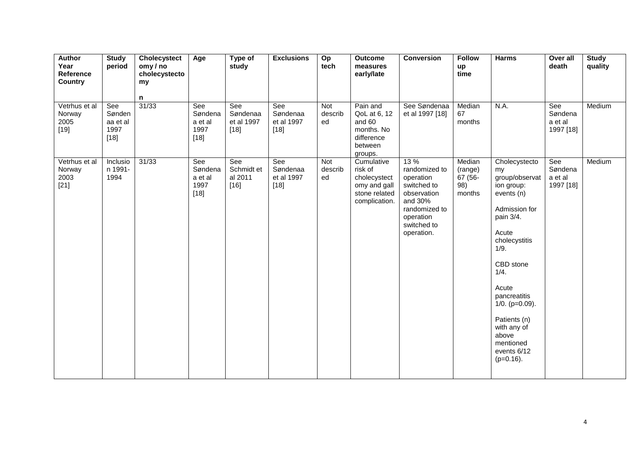| Author<br>Year<br>Reference<br><b>Country</b> | <b>Study</b><br>period                      | Cholecystect<br>omy/no<br>cholecystecto<br>my | Age                                         | Type of<br>study                        | <b>Exclusions</b>                       | Op<br>tech                  | <b>Outcome</b><br>measures<br>early/late                                                | <b>Conversion</b>                                                                                                                      | <b>Follow</b><br>up<br>time                   | <b>Harms</b>                                                                                                                                                                                                                                                                                | Over all<br>death                      | <b>Study</b><br>quality |
|-----------------------------------------------|---------------------------------------------|-----------------------------------------------|---------------------------------------------|-----------------------------------------|-----------------------------------------|-----------------------------|-----------------------------------------------------------------------------------------|----------------------------------------------------------------------------------------------------------------------------------------|-----------------------------------------------|---------------------------------------------------------------------------------------------------------------------------------------------------------------------------------------------------------------------------------------------------------------------------------------------|----------------------------------------|-------------------------|
| Vetrhus et al<br>Norway<br>2005<br>$[19]$     | See<br>Sønden<br>aa et al<br>1997<br>$[18]$ | n<br>31/33                                    | See<br>Søndena<br>a et al<br>1997<br>$[18]$ | See<br>Søndenaa<br>et al 1997<br>$[18]$ | See<br>Søndenaa<br>et al 1997<br>$[18]$ | Not<br>describ<br>ed        | Pain and<br>QoL at 6, 12<br>and 60<br>months. No<br>difference<br>between<br>groups.    | See Søndenaa<br>et al 1997 [18]                                                                                                        | Median<br>67<br>months                        | N.A.                                                                                                                                                                                                                                                                                        | See<br>Søndena<br>a et al<br>1997 [18] | Medium                  |
| Vetrhus et al<br>Norway<br>2003<br>$[21]$     | Inclusio<br>n 1991-<br>1994                 | 31/33                                         | See<br>Søndena<br>a et al<br>1997<br>$[18]$ | See<br>Schmidt et<br>al 2011<br>$[16]$  | See<br>Søndenaa<br>et al 1997<br>$[18]$ | <b>Not</b><br>describ<br>ed | Cumulative<br>risk of<br>cholecystect<br>omy and gall<br>stone related<br>complication. | 13 %<br>randomized to<br>operation<br>switched to<br>observation<br>and 30%<br>randomized to<br>operation<br>switched to<br>operation. | Median<br>(range)<br>67 (56-<br>98)<br>months | Cholecystecto<br>my<br>group/observat<br>ion group:<br>events (n)<br>Admission for<br>pain 3/4.<br>Acute<br>cholecystitis<br>1/9.<br>CBD stone<br>1/4.<br>Acute<br>pancreatitis<br>$1/0.$ ( $p=0.09$ ).<br>Patients (n)<br>with any of<br>above<br>mentioned<br>events 6/12<br>$(p=0.16)$ . | See<br>Søndena<br>a et al<br>1997 [18] | Medium                  |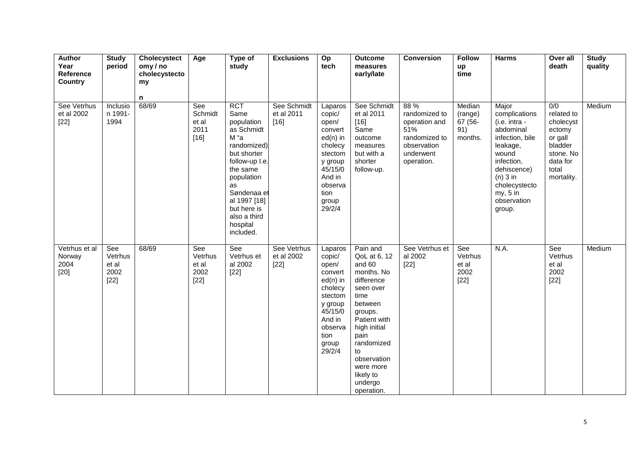| <b>Author</b><br>Year<br>Reference<br><b>Country</b> | <b>Study</b><br>period                    | Cholecystect<br>omy / no<br>cholecystecto<br>my<br>n | Age                                       | Type of<br>study                                                                                                                                                                                                              | <b>Exclusions</b>                   | Op<br>tech                                                                                                                                      | <b>Outcome</b><br>measures<br>early/late                                                                                                                                                                                                | <b>Conversion</b>                                                                                        | <b>Follow</b><br>up<br>time                    | <b>Harms</b>                                                                                                                                                                                  | Over all<br>death                                                                                                           | <b>Study</b><br>quality |
|------------------------------------------------------|-------------------------------------------|------------------------------------------------------|-------------------------------------------|-------------------------------------------------------------------------------------------------------------------------------------------------------------------------------------------------------------------------------|-------------------------------------|-------------------------------------------------------------------------------------------------------------------------------------------------|-----------------------------------------------------------------------------------------------------------------------------------------------------------------------------------------------------------------------------------------|----------------------------------------------------------------------------------------------------------|------------------------------------------------|-----------------------------------------------------------------------------------------------------------------------------------------------------------------------------------------------|-----------------------------------------------------------------------------------------------------------------------------|-------------------------|
| See Vetrhus<br>et al 2002<br>$[22]$                  | Inclusio<br>n 1991-<br>1994               | 68/69                                                | See<br>Schmidt<br>et al<br>2011<br>$[16]$ | <b>RCT</b><br>Same<br>population<br>as Schmidt<br>M "a<br>randomized)<br>but shorter<br>follow-up I.e.<br>the same<br>population<br>as<br>Søndenaa et<br>al 1997 [18]<br>but here is<br>also a third<br>hospital<br>included. | See Schmidt<br>et al 2011<br>$[16]$ | Laparos<br>copic/<br>open/<br>convert<br>$ed(n)$ in<br>cholecy<br>stectom<br>y group<br>45/15/0<br>And in<br>observa<br>tion<br>group<br>29/2/4 | See Schmidt<br>et al 2011<br>$[16]$<br>Same<br>outcome<br>measures<br>but with a<br>shorter<br>follow-up.                                                                                                                               | 88 %<br>randomized to<br>operation and<br>51%<br>randomized to<br>observation<br>underwent<br>operation. | Median<br>(range)<br>67 (56-<br>91)<br>months. | Major<br>complications<br>(i.e. intra -<br>abdominal<br>infection, bile<br>leakage,<br>wound<br>infection,<br>dehiscence)<br>$(n)$ 3 in<br>cholecystecto<br>my, 5 in<br>observation<br>group. | $\overline{0/0}$<br>related to<br>cholecyst<br>ectomy<br>or gall<br>bladder<br>stone. No<br>data for<br>total<br>mortality. | Medium                  |
| Vetrhus et al<br>Norway<br>2004<br>[20]              | See<br>Vetrhus<br>et al<br>2002<br>$[22]$ | 68/69                                                | See<br>Vetrhus<br>et al<br>2002<br>$[22]$ | See<br>Vetrhus et<br>al 2002<br>$[22]$                                                                                                                                                                                        | See Vetrhus<br>et al 2002<br>$[22]$ | Laparos<br>copic/<br>open/<br>convert<br>$ed(n)$ in<br>cholecy<br>stectom<br>y group<br>45/15/0<br>And in<br>observa<br>tion<br>group<br>29/2/4 | Pain and<br>QoL at 6, 12<br>and 60<br>months. No<br>difference<br>seen over<br>time<br>between<br>groups.<br>Patient with<br>high initial<br>pain<br>randomized<br>to<br>observation<br>were more<br>likely to<br>undergo<br>operation. | See Vetrhus et<br>al 2002<br>$[22]$                                                                      | See<br>Vetrhus<br>et al<br>2002<br>$[22]$      | N.A.                                                                                                                                                                                          | See<br>Vetrhus<br>et al<br>2002<br>$[22]$                                                                                   | Medium                  |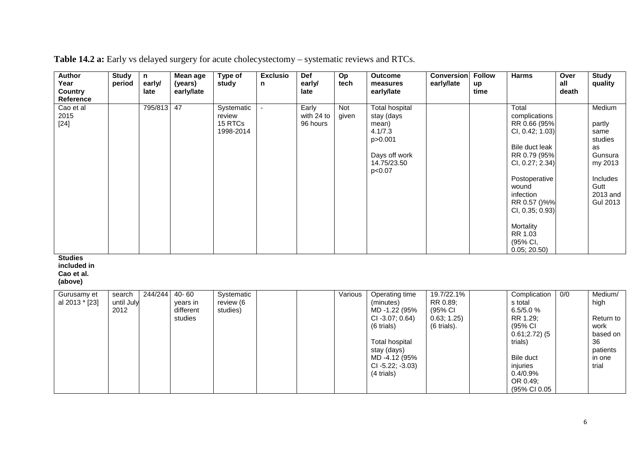| <b>Author</b><br>Year<br><b>Country</b><br>Reference   | <b>Study</b><br>period       | n<br>early/<br>late | Mean age<br>(years)<br>early/late             | Type of<br>study                             | <b>Exclusio</b><br>n | Def<br>early/<br>late           | Op<br>tech   | <b>Outcome</b><br>measures<br>early/late                                                                                                                             | <b>Conversion</b><br>early/late                                 | <b>Follow</b><br>up<br>time | <b>Harms</b>                                                                                                                                                                                                                                | Over<br>all<br>death | <b>Study</b><br>quality                                                                                            |
|--------------------------------------------------------|------------------------------|---------------------|-----------------------------------------------|----------------------------------------------|----------------------|---------------------------------|--------------|----------------------------------------------------------------------------------------------------------------------------------------------------------------------|-----------------------------------------------------------------|-----------------------------|---------------------------------------------------------------------------------------------------------------------------------------------------------------------------------------------------------------------------------------------|----------------------|--------------------------------------------------------------------------------------------------------------------|
| Cao et al<br>2015<br>$[24]$                            |                              | 795/813             | 47                                            | Systematic<br>review<br>15 RTCs<br>1998-2014 | $\sim$               | Early<br>with 24 to<br>96 hours | Not<br>given | <b>Total hospital</b><br>stay (days<br>mean)<br>4.1/7.3<br>p>0.001<br>Days off work<br>14.75/23.50<br>p<0.07                                                         |                                                                 |                             | Total<br>complications<br>RR 0.66 (95%<br>CI, 0.42; 1.03)<br>Bile duct leak<br>RR 0.79 (95%<br>CI, 0.27; 2.34)<br>Postoperative<br>wound<br>infection<br>RR 0.57 ()%%<br>CI, 0.35; 0.93)<br>Mortality<br>RR 1.03<br>(95% CI,<br>0.05; 20.50 |                      | Medium<br>partly<br>same<br>studies<br>as<br>Gunsura<br>my 2013<br>Includes<br>Gutt<br>2013 and<br><b>Gul 2013</b> |
| <b>Studies</b><br>included in<br>Cao et al.<br>(above) |                              |                     |                                               |                                              |                      |                                 |              |                                                                                                                                                                      |                                                                 |                             |                                                                                                                                                                                                                                             |                      |                                                                                                                    |
| Gurusamy et<br>al 2013 * [23]                          | search<br>until July<br>2012 | 244/244             | $40 - 60$<br>years in<br>different<br>studies | Systematic<br>review (6<br>studies)          |                      |                                 | Various      | Operating time<br>(minutes)<br>MD-1.22 (95%<br>CI-3.07; 0.64)<br>(6 trials)<br><b>Total hospital</b><br>stay (days)<br>MD-4.12 (95%<br>CI-5.22; -3.03)<br>(4 trials) | 19.7/22.1%<br>RR 0.89;<br>(95% CI<br>0.63; 1.25)<br>(6 trials). |                             | Complication<br>s total<br>6.5/5.0%<br>RR 1.29;<br>(95% CI<br>$0.61;2.72)$ (5<br>trials)<br>Bile duct<br>injuries<br>0.4/0.9%<br>OR 0.49;                                                                                                   | 0/0                  | Medium/<br>high<br>Return to<br>work<br>based on<br>36<br>patients<br>in one<br>trial                              |

**Table 14.2 a:** Early vs delayed surgery for acute cholecystectomy – systematic reviews and RTCs.

(95% CI 0.05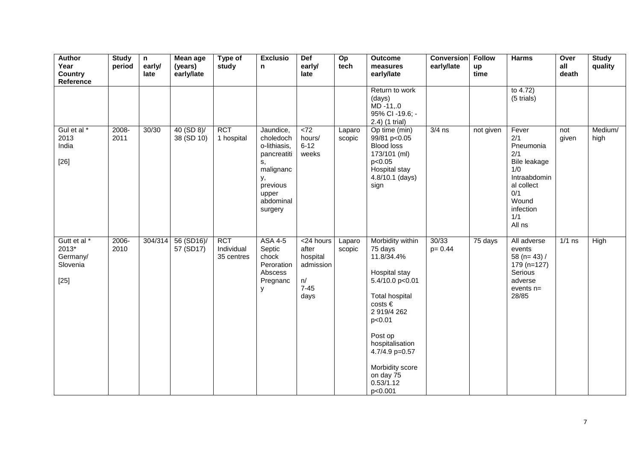| <b>Author</b><br>Year<br><b>Country</b><br>Reference    | <b>Study</b><br>period | $\mathsf{n}$<br>early/<br>late | Mean age<br>(years)<br>early/late | Type of<br>study                       | <b>Exclusio</b><br>$\mathbf n$                                                                                              | <b>Def</b><br>early/<br>late                                          | Op<br>tech       | <b>Outcome</b><br>measures<br>early/late                                                                                                                                                                                                               | <b>Conversion</b><br>early/late | <b>Follow</b><br>up<br>time | <b>Harms</b>                                                                                                                        | Over<br>all<br>death | <b>Study</b><br>quality |
|---------------------------------------------------------|------------------------|--------------------------------|-----------------------------------|----------------------------------------|-----------------------------------------------------------------------------------------------------------------------------|-----------------------------------------------------------------------|------------------|--------------------------------------------------------------------------------------------------------------------------------------------------------------------------------------------------------------------------------------------------------|---------------------------------|-----------------------------|-------------------------------------------------------------------------------------------------------------------------------------|----------------------|-------------------------|
|                                                         |                        |                                |                                   |                                        |                                                                                                                             |                                                                       |                  | Return to work<br>(days)<br>$MD - 11, .0$<br>95% CI -19.6; -<br>2.4) (1 trial)                                                                                                                                                                         |                                 |                             | to $4.72$ )<br>(5 trials)                                                                                                           |                      |                         |
| Gul et al*<br>2013<br>India<br>$[26]$                   | 2008-<br>2011          | 30/30                          | 40 (SD 8)<br>38 (SD 10)           | <b>RCT</b><br>1 hospital               | Jaundice,<br>choledoch<br>o-lithiasis,<br>pancreatiti<br>s,<br>malignanc<br>у,<br>previous<br>upper<br>abdominal<br>surgery | $\overline{572}$<br>hours/<br>$6 - 12$<br>weeks                       | Laparo<br>scopic | Op time (min)<br>99/81 p<0.05<br><b>Blood loss</b><br>173/101 (ml)<br>p<0.05<br>Hospital stay<br>4.8/10.1 (days)<br>sign                                                                                                                               | $3/4$ ns                        | not given                   | Fever<br>2/1<br>Pneumonia<br>2/1<br>Bile leakage<br>1/0<br>Intraabdomin<br>al collect<br>0/1<br>Wound<br>infection<br>1/1<br>All ns | not<br>given         | Medium/<br>high         |
| Gutt et al *<br>2013*<br>Germany/<br>Slovenia<br>$[25]$ | 2006-<br>2010          | 304/314                        | 56 (SD16)/<br>57 (SD17)           | <b>RCT</b><br>Individual<br>35 centres | <b>ASA 4-5</b><br>Septic<br>chock<br>Peroration<br>Abscess<br>Pregnanc<br>у                                                 | <24 hours<br>after<br>hospital<br>admission<br>n/<br>$7 - 45$<br>days | Laparo<br>scopic | Morbidity within<br>75 days<br>11.8/34.4%<br>Hospital stay<br>5.4/10.0 p<0.01<br><b>Total hospital</b><br>$costs \in$<br>2 919/4 262<br>p<0.01<br>Post op<br>hospitalisation<br>4.7/4.9 p=0.57<br>Morbidity score<br>on day 75<br>0.53/1.12<br>p<0.001 | 30/33<br>$p = 0.44$             | $\overline{7}5$ days        | All adverse<br>events<br>58 ( $n=43$ ) /<br>$179(n=127)$<br>Serious<br>adverse<br>events $n=$<br>28/85                              | $1/1$ ns             | High                    |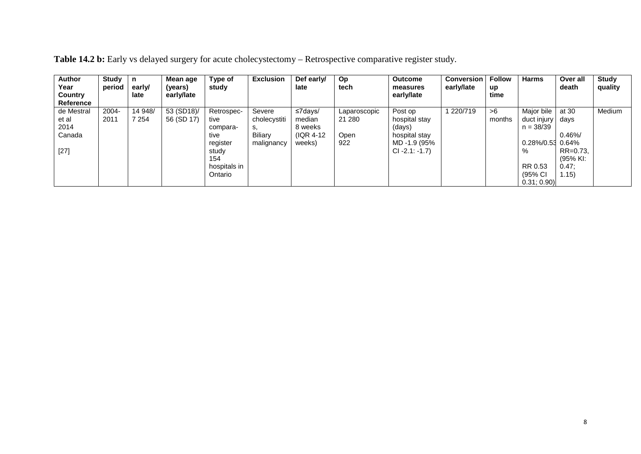| <b>Author</b><br>Year<br>Country<br><b>Reference</b> | Study<br>period  | n<br>early/<br>late | Mean age<br>(years)<br>early/late | Type of<br>study                                                                   | <b>Exclusion</b>                                      | Def early/<br>late                                            | Op<br>tech                            | <b>Outcome</b><br>measures<br>early/late                                                | <b>Conversion</b><br>early/late | <b>Follow</b><br>up<br>time | <b>Harms</b>                                                           | Over all<br>death                                                   | Study<br>quality |
|------------------------------------------------------|------------------|---------------------|-----------------------------------|------------------------------------------------------------------------------------|-------------------------------------------------------|---------------------------------------------------------------|---------------------------------------|-----------------------------------------------------------------------------------------|---------------------------------|-----------------------------|------------------------------------------------------------------------|---------------------------------------------------------------------|------------------|
| de Mestral<br>et al<br>2014<br>Canada<br>$[27]$      | $2004 -$<br>2011 | 14 948/<br>7 2 5 4  | 53 (SD18)/<br>56 (SD 17)          | Retrospec-<br>tive<br>compara-<br>tive<br>register<br>study<br>154<br>hospitals in | Severe<br>cholecystiti<br>s.<br>Biliary<br>malignancy | $\leq$ 7days/<br>median<br>8 weeks<br>$( IQR 4-12)$<br>weeks) | Laparoscopic<br>21 280<br>Open<br>922 | Post op<br>hospital stay<br>(days)<br>hospital stay<br>MD -1.9 (95%<br>$CI - 2.1: -1.7$ | 1 220/719                       | >6<br>months                | Major bile<br>duct injury<br>$n = 38/39$<br>0.28%/0.53<br>%<br>RR 0.53 | at 30<br>days<br>0.46%<br>0.64%<br>$RR=0.73$ ,<br>(95% KI:<br>0.47: | Medium           |
|                                                      |                  |                     |                                   | Ontario                                                                            |                                                       |                                                               |                                       |                                                                                         |                                 |                             | (95% CI<br>0.31; 0.90                                                  | 1.15)                                                               |                  |

| Table 14.2 b: Early vs delayed surgery for acute cholecystectomy – Retrospective comparative register study. |  |
|--------------------------------------------------------------------------------------------------------------|--|
|--------------------------------------------------------------------------------------------------------------|--|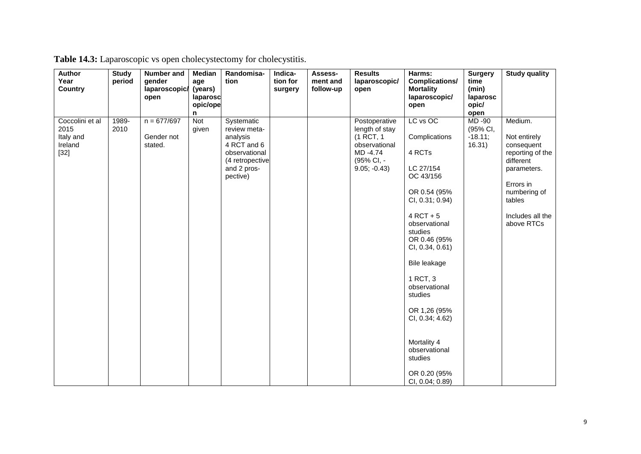| Author<br>Year<br><b>Country</b>                          | <b>Study</b><br>period | Number and<br>gender<br>laparoscopic/<br>open | Median<br>age<br>(years)<br>laparosc<br>opic/ope | Randomisa-<br>tion                                                                                                   | Indica-<br>tion for<br>surgery | Assess-<br>ment and<br>follow-up | <b>Results</b><br>laparoscopic/<br>open                                                                  | Harms:<br>Complications/<br><b>Mortality</b><br>laparoscopic/                                                                                                                                                                                                                                                                                          | <b>Surgery</b><br>time<br>(min)<br>laparosc<br>opic/ | <b>Study quality</b>                                                                                                                                           |
|-----------------------------------------------------------|------------------------|-----------------------------------------------|--------------------------------------------------|----------------------------------------------------------------------------------------------------------------------|--------------------------------|----------------------------------|----------------------------------------------------------------------------------------------------------|--------------------------------------------------------------------------------------------------------------------------------------------------------------------------------------------------------------------------------------------------------------------------------------------------------------------------------------------------------|------------------------------------------------------|----------------------------------------------------------------------------------------------------------------------------------------------------------------|
|                                                           |                        |                                               | n                                                |                                                                                                                      |                                |                                  |                                                                                                          | open                                                                                                                                                                                                                                                                                                                                                   | open                                                 |                                                                                                                                                                |
| Coccolini et al<br>2015<br>Italy and<br>Ireland<br>$[32]$ | 1989-<br>2010          | $n = 677/697$<br>Gender not<br>stated.        | Not<br>given                                     | Systematic<br>review meta-<br>analysis<br>4 RCT and 6<br>observational<br>(4 retropective<br>and 2 pros-<br>pective) |                                |                                  | Postoperative<br>length of stay<br>(1 RCT, 1<br>observational<br>MD -4.74<br>(95% CI, -<br>$9.05; -0.43$ | LC vs OC<br>Complications<br>4 RCTs<br>LC 27/154<br>OC 43/156<br>OR 0.54 (95%<br>CI, 0.31; 0.94)<br>$4$ RCT + 5<br>observational<br>studies<br>OR 0.46 (95%<br>CI, 0.34, 0.61)<br>Bile leakage<br>1 RCT, 3<br>observational<br>studies<br>OR 1,26 (95%<br>CI, 0.34; 4.62)<br>Mortality 4<br>observational<br>studies<br>OR 0.20 (95%<br>CI, 0.04; 0.89 | MD-90<br>(95% CI,<br>$-18.11;$<br>16.31)             | Medium.<br>Not entirely<br>consequent<br>reporting of the<br>different<br>parameters.<br>Errors in<br>numbering of<br>tables<br>Includes all the<br>above RTCs |

|  |  | Table 14.3: Laparoscopic vs open cholecystectomy for cholecystitis. |
|--|--|---------------------------------------------------------------------|
|  |  |                                                                     |
|  |  |                                                                     |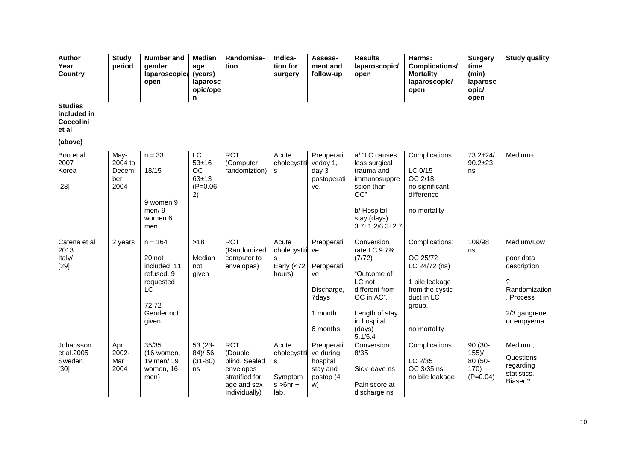| <b>Author</b> | Studv  | Number and    | <b>Median</b> | <b>Randomisa-</b> | <b>Indica-</b> | <b>Assess-</b> | <b>Results</b> | Harms:                | <b>Surgery</b> | <b>Study quality</b> |
|---------------|--------|---------------|---------------|-------------------|----------------|----------------|----------------|-----------------------|----------------|----------------------|
| Year          | period | aender        | age           | tion              | tion for       | ment and       | laparoscopic/  | <b>Complications/</b> | time           |                      |
| Country       |        | laparoscopic/ | (vears)       |                   | surgery        | follow-up      | open           | <b>Mortality</b>      | (min)          |                      |
|               |        | open          | laparoscl     |                   |                |                |                | laparoscopic/         | laparosc       |                      |
|               |        |               | opic/ope      |                   |                |                |                | open                  | opic/          |                      |
|               |        |               |               |                   |                |                |                |                       | open           |                      |

**Studies** 

**included in** 

**Coccolini** 

**et al** 

**(above)**

| Boo et al<br>2007<br>Korea<br>$[28]$        | May-<br>2004 to<br>Decem<br>ber<br>2004 | $n = 33$<br>18/15<br>9 women 9<br>men/9<br>women 6<br>men                                           | LC<br>$53 + 16$<br><b>OC</b><br>$63 + 13$<br>$(P=0.06)$<br>2) | <b>RCT</b><br>(Computer<br>randomiztion)                                                              | Acute<br>cholecystiti<br>s.                                  | Preoperati<br>veday 1,<br>day 3<br>postoperati<br>ve.                              | a/ "LC causes<br>less surgical<br>trauma and<br>immunosuppre<br>ssion than<br>OC".<br>b/ Hospital<br>stay (days)<br>$3.7 \pm 1.2/6.3 \pm 2.7$       | Complications<br>LC $0/15$<br>OC 2/18<br>no significant<br>difference<br>no mortality                                    | $73.2 + 24/$<br>$90.2 \pm 23$<br>ns                    | Medium+                                                                                                         |
|---------------------------------------------|-----------------------------------------|-----------------------------------------------------------------------------------------------------|---------------------------------------------------------------|-------------------------------------------------------------------------------------------------------|--------------------------------------------------------------|------------------------------------------------------------------------------------|-----------------------------------------------------------------------------------------------------------------------------------------------------|--------------------------------------------------------------------------------------------------------------------------|--------------------------------------------------------|-----------------------------------------------------------------------------------------------------------------|
| Catena et al<br>2013<br>Italy/<br>$[29]$    | 2 years                                 | $n = 164$<br>20 not<br>included, 11<br>refused, 9<br>requested<br>LC<br>7272<br>Gender not<br>given | $>18$<br>Median<br>not<br>given                               | <b>RCT</b><br>(Randomized<br>computer to<br>envelopes)                                                | Acute<br>cholecystiti<br>s<br>Early $(72)$<br>hours)         | Preoperati<br>ve<br>Peroperati<br>ve<br>Discharge,<br>7days<br>1 month<br>6 months | Conversion<br>rate LC 9.7%<br>(7/72)<br>"Outcome of<br>LC not<br>different from<br>OC in AC".<br>Length of stay<br>in hospital<br>(days)<br>5.1/5.4 | Complications:<br>OC 25/72<br>LC 24/72 (ns)<br>1 bile leakage<br>from the cystic<br>duct in LC<br>group.<br>no mortality | 109/98<br>ns                                           | Medium/Low<br>poor data<br>description<br>$\gamma$<br>Randomization<br>. Process<br>2/3 gangrene<br>or empyema. |
| Johansson<br>et al.2005<br>Sweden<br>$[30]$ | Apr<br>2002-<br>Mar<br>2004             | 35/35<br>(16 women,<br>19 men/ 19<br>women, 16<br>men)                                              | $53(23 -$<br>$84$ )/ $56$<br>$(31-80)$<br>ns                  | <b>RCT</b><br>(Double<br>blind. Sealed<br>envelopes<br>stratified for<br>age and sex<br>Individually) | Acute<br>cholecystiti<br>s<br>Symptom<br>$s > 6hr +$<br>lab. | Preoperati<br>ve during<br>hospital<br>stay and<br>postop (4<br>W)                 | Conversion:<br>8/35<br>Sick leave ns<br>Pain score at<br>discharge ns                                                                               | Complications<br>LC 2/35<br>OC 3/35 ns<br>no bile leakage                                                                | $90(30 -$<br>$155$ )/<br>80 (50-<br>170)<br>$(P=0.04)$ | Medium,<br>Questions<br>regarding<br>statistics.<br>Biased?                                                     |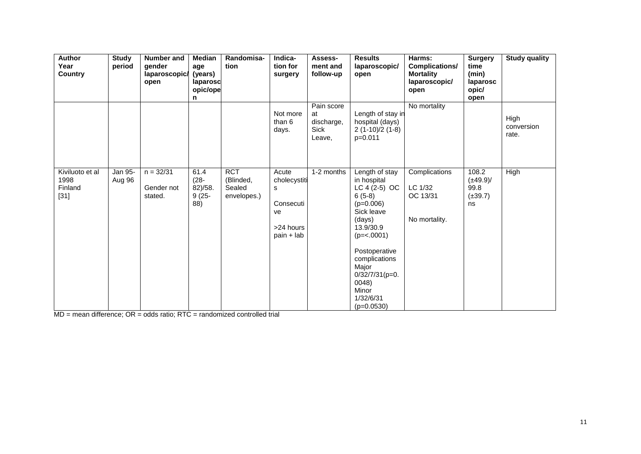| <b>Author</b><br>Year<br><b>Country</b>      | <b>Study</b><br>period | Number and<br>gender<br>laparoscopic/<br>open | Median<br>age<br>(years)<br>laparosc<br>opic/ope<br>n | Randomisa-<br>tion                                     | Indica-<br>tion for<br>surgery                                             | Assess-<br>ment and<br>follow-up                 | <b>Results</b><br>laparoscopic/<br>open                                                                                                                                                                                                        | Harms:<br>Complications/<br><b>Mortality</b><br>laparoscopic/<br>open | <b>Surgery</b><br>time<br>(min)<br>laparosc<br>opic/<br>open | <b>Study quality</b>        |
|----------------------------------------------|------------------------|-----------------------------------------------|-------------------------------------------------------|--------------------------------------------------------|----------------------------------------------------------------------------|--------------------------------------------------|------------------------------------------------------------------------------------------------------------------------------------------------------------------------------------------------------------------------------------------------|-----------------------------------------------------------------------|--------------------------------------------------------------|-----------------------------|
|                                              |                        |                                               |                                                       |                                                        | Not more<br>than 6<br>days.                                                | Pain score<br>at<br>discharge,<br>Sick<br>Leave, | Length of stay in<br>hospital (days)<br>$2(1-10)/2(1-8)$<br>$p=0.011$                                                                                                                                                                          | No mortality                                                          |                                                              | High<br>conversion<br>rate. |
| Kiviluoto et al<br>1998<br>Finland<br>$[31]$ | Jan 95-<br>Aug 96      | $n = 32/31$<br>Gender not<br>stated.          | 61.4<br>$(28 -$<br>82)/58.<br>$9(25 -$<br>88)         | $\overline{RCT}$<br>(Blinded,<br>Sealed<br>envelopes.) | Acute<br>cholecystiti<br>s<br>Consecuti<br>ve<br>>24 hours<br>$pain + lab$ | 1-2 months                                       | Length of stay<br>in hospital<br>$LC 4 (2-5) OC$<br>$6(5-8)$<br>$(p=0.006)$<br>Sick leave<br>(days)<br>13.9/30.9<br>$(p=<.0001)$<br>Postoperative<br>complications<br>Major<br>$0/32/7/31(p=0.$<br>0048)<br>Minor<br>1/32/6/31<br>$(p=0.0530)$ | Complications<br>LC 1/32<br>OC 13/31<br>No mortality.                 | 108.2<br>$(\pm 49.9)$ /<br>99.8<br>$(\pm 39.7)$<br>ns        | High                        |

MD = mean difference; OR = odds ratio; RTC = randomized controlled trial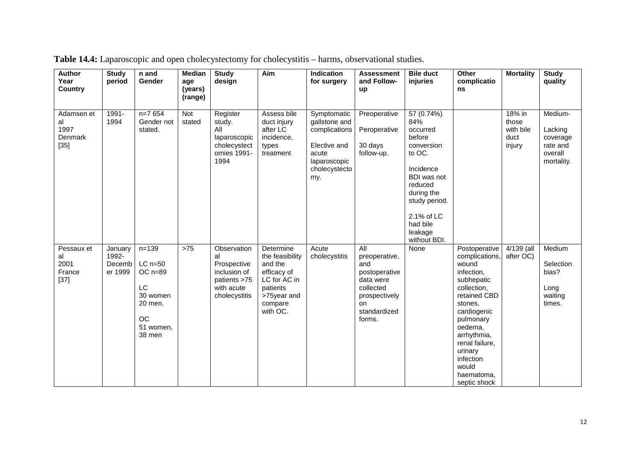| <b>Author</b><br>Year<br><b>Country</b>       | <b>Study</b><br>period                | n and<br><b>Gender</b>                                                                               | <b>Median</b><br>age<br>(years)<br>(range) | <b>Study</b><br>design                                                                          | Aim                                                                                                                      | Indication<br>for surgery                                                                                      | <b>Assessment</b><br>and Follow-<br>up                                                                                         | <b>Bile duct</b><br>injuries                                                                                                                                                               | Other<br>complicatio<br>ns                                                                                                                                                                                                                            | <b>Mortality</b>                               | <b>Study</b><br>quality                                             |
|-----------------------------------------------|---------------------------------------|------------------------------------------------------------------------------------------------------|--------------------------------------------|-------------------------------------------------------------------------------------------------|--------------------------------------------------------------------------------------------------------------------------|----------------------------------------------------------------------------------------------------------------|--------------------------------------------------------------------------------------------------------------------------------|--------------------------------------------------------------------------------------------------------------------------------------------------------------------------------------------|-------------------------------------------------------------------------------------------------------------------------------------------------------------------------------------------------------------------------------------------------------|------------------------------------------------|---------------------------------------------------------------------|
| Adamsen et<br>al<br>1997<br>Denmark<br>$[35]$ | 1991-<br>1994                         | $n=7654$<br>Gender not<br>stated.                                                                    | Not<br>stated                              | Register<br>study.<br>All<br>laparoscopic<br>cholecystect<br>omies 1991-<br>1994                | Assess bile<br>duct injury<br>after LC<br>incidence,<br>types<br>treatment                                               | Symptomatic<br>gallstone and<br>complications<br>Elective and<br>acute<br>laparoscopic<br>cholecystecto<br>my. | Preoperative<br>Peroperative<br>30 days<br>follow-up.                                                                          | 57 (0.74%)<br>84%<br>occurred<br>before<br>conversion<br>to OC.<br>Incidence<br>BDI was not<br>reduced<br>during the<br>study period.<br>2.1% of LC<br>had bile<br>leakage<br>without BDI. |                                                                                                                                                                                                                                                       | 18% in<br>those<br>with bile<br>duct<br>injury | Medium-<br>Lacking<br>coverage<br>rate and<br>overall<br>mortality. |
| Pessaux et<br>al<br>2001<br>France<br>$[37]$  | January<br>1992-<br>Decemb<br>er 1999 | $n = 139$<br>$LC$ n=50<br>$OC$ n=89<br>LC<br>30 women<br>20 men.<br><b>OC</b><br>51 women,<br>38 men | $>75$                                      | Observation<br>al<br>Prospective<br>inclusion of<br>patients >75<br>with acute<br>cholecystitis | Determine<br>the feasibility<br>and the<br>efficacy of<br>LC for AC in<br>patients<br>>75year and<br>compare<br>with OC. | Acute<br>cholecystitis                                                                                         | All<br>preoperative,<br>and<br>postoperative<br>data were<br>collected<br>prospectively<br><b>on</b><br>standardized<br>forms. | None                                                                                                                                                                                       | Postoperative<br>complications,<br>wound<br>infection,<br>subhepatic<br>collection,<br>retained CBD<br>stones,<br>cardiogenic<br>pulmonary<br>oedema,<br>arrhythmia,<br>renal failure,<br>urinary<br>infection<br>would<br>haematoma,<br>septic shock | 4/139 (all<br>after OC)                        | Medium<br>Selection<br>bias?<br>Long<br>waiting<br>times.           |

**Table 14.4:** Laparoscopic and open cholecystectomy for cholecystitis – harms, observational studies.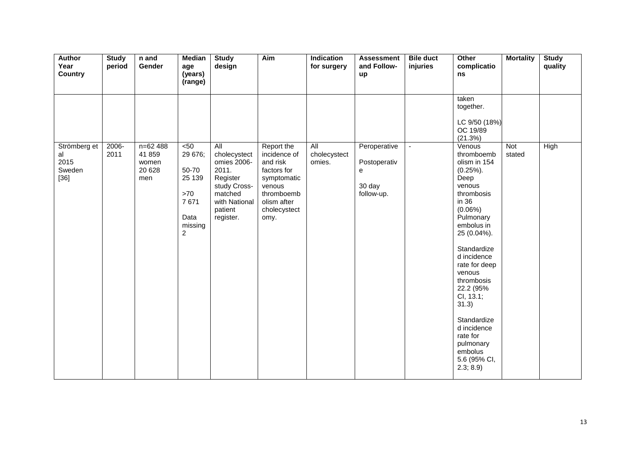| Author<br>Year<br><b>Country</b>               | <b>Study</b><br>period | n and<br>Gender                                | <b>Median</b><br>age<br>(years)<br>(range)                                            | <b>Study</b><br>design                                                                                                      | Aim                                                                                                                                 | Indication<br>for surgery     | <b>Assessment</b><br>and Follow-<br>up                    | <b>Bile duct</b><br>injuries | Other<br>complicatio<br>ns                                                                                                                                                                                                                                                                                                                                    | <b>Mortality</b> | <b>Study</b><br>quality |
|------------------------------------------------|------------------------|------------------------------------------------|---------------------------------------------------------------------------------------|-----------------------------------------------------------------------------------------------------------------------------|-------------------------------------------------------------------------------------------------------------------------------------|-------------------------------|-----------------------------------------------------------|------------------------------|---------------------------------------------------------------------------------------------------------------------------------------------------------------------------------------------------------------------------------------------------------------------------------------------------------------------------------------------------------------|------------------|-------------------------|
|                                                |                        |                                                |                                                                                       |                                                                                                                             |                                                                                                                                     |                               |                                                           |                              | taken<br>together.<br>LC 9/50 (18%)<br>OC 19/89<br>(21.3%)                                                                                                                                                                                                                                                                                                    |                  |                         |
| Strömberg et<br>al<br>2015<br>Sweden<br>$[36]$ | 2006-<br>2011          | $n=62488$<br>41 859<br>women<br>20 6 28<br>men | 50<<br>29 676;<br>50-70<br>25 139<br>>70<br>7671<br>Data<br>missing<br>$\overline{c}$ | All<br>cholecystect<br>omies 2006-<br>2011.<br>Register<br>study Cross-<br>matched<br>with National<br>patient<br>register. | Report the<br>incidence of<br>and risk<br>factors for<br>symptomatic<br>venous<br>thromboemb<br>olism after<br>cholecystect<br>omy. | All<br>cholecystect<br>omies. | Peroperative<br>Postoperativ<br>e<br>30 day<br>follow-up. | $\blacksquare$               | Venous<br>thromboemb<br>olism in 154<br>$(0.25\%)$ .<br>Deep<br>venous<br>thrombosis<br>in 36<br>$(0.06\%)$<br>Pulmonary<br>embolus in<br>25 (0.04%).<br>Standardize<br>d incidence<br>rate for deep<br>venous<br>thrombosis<br>22.2 (95%<br>CI, 13.1;<br>31.3)<br>Standardize<br>d incidence<br>rate for<br>pulmonary<br>embolus<br>5.6 (95% CI,<br>2.3; 8.9 | Not<br>stated    | High                    |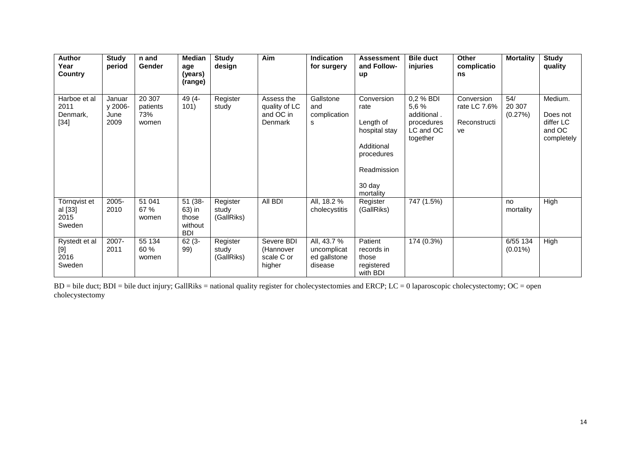| Author<br>Year<br>Country                  | <b>Study</b><br>period            | n and<br>Gender                    | Median<br>age<br>(years)<br>(range)                 | <b>Study</b><br>design          | Aim                                                 | <b>Indication</b><br>for surgery                      | <b>Assessment</b><br>and Follow-<br>up                                                                             | <b>Bile duct</b><br>injuries                                             | <b>Other</b><br>complicatio<br>ns                | <b>Mortality</b>         | <b>Study</b><br>quality                                  |
|--------------------------------------------|-----------------------------------|------------------------------------|-----------------------------------------------------|---------------------------------|-----------------------------------------------------|-------------------------------------------------------|--------------------------------------------------------------------------------------------------------------------|--------------------------------------------------------------------------|--------------------------------------------------|--------------------------|----------------------------------------------------------|
| Harboe et al<br>2011<br>Denmark,<br>$[34]$ | Januar<br>y 2006-<br>June<br>2009 | 20 307<br>patients<br>73%<br>women | 49 (4-<br>101)                                      | Register<br>study               | Assess the<br>quality of LC<br>and OC in<br>Denmark | Gallstone<br>and<br>complication<br>s                 | Conversion<br>rate<br>Length of<br>hospital stay<br>Additional<br>procedures<br>Readmission<br>30 day<br>mortality | 0,2 % BDI<br>5,6 %<br>additional.<br>procedures<br>LC and OC<br>together | Conversion<br>rate LC 7.6%<br>Reconstructi<br>ve | 54/<br>20 307<br>(0.27%) | Medium.<br>Does not<br>differ LC<br>and OC<br>completely |
| Törnqvist et<br>al [33]<br>2015<br>Sweden  | 2005-<br>2010                     | 51 041<br>67 %<br>women            | 51 (38-<br>63) in<br>those<br>without<br><b>BDI</b> | Register<br>study<br>(GallRiks) | All BDI                                             | All, 18.2 %<br>cholecystitis                          | Register<br>(GallRiks)                                                                                             | 747 (1.5%)                                                               |                                                  | no<br>mortality          | High                                                     |
| Rystedt et al<br>[9]<br>2016<br>Sweden     | 2007-<br>2011                     | 55 134<br>60 %<br>women            | $62(3 -$<br>99)                                     | Register<br>study<br>(GallRiks) | Severe BDI<br>(Hannover<br>scale C or<br>higher     | All, 43.7 %<br>uncomplicat<br>ed gallstone<br>disease | Patient<br>records in<br>those<br>registered<br>with BDI                                                           | 174 (0.3%)                                                               |                                                  | 6/55 134<br>$(0.01\%)$   | High                                                     |

BD = bile duct; BDI = bile duct injury; GallRiks = national quality register for cholecystectomies and ERCP; LC = 0 laparoscopic cholecystectomy; OC = open cholecystectomy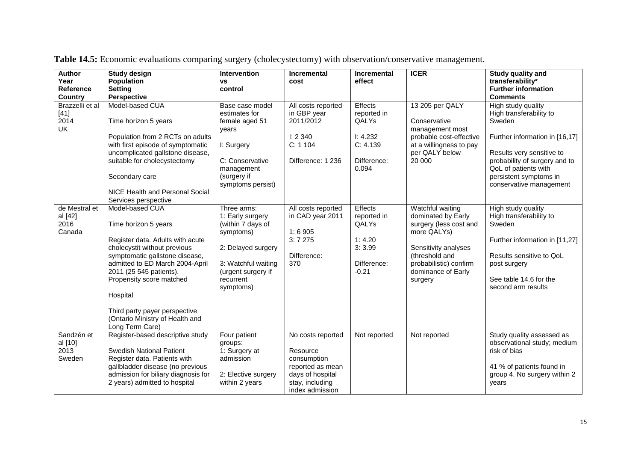| <b>Author</b>   | <b>Study design</b>                 | Intervention        | <b>Incremental</b> | <b>Incremental</b> | <b>ICER</b>                           | Study quality and              |
|-----------------|-------------------------------------|---------------------|--------------------|--------------------|---------------------------------------|--------------------------------|
| Year            | <b>Population</b>                   | ٧S                  | cost               | effect             |                                       | transferability*               |
| Reference       | <b>Setting</b>                      | control             |                    |                    |                                       | <b>Further information</b>     |
| <b>Country</b>  | <b>Perspective</b>                  |                     |                    |                    |                                       | <b>Comments</b>                |
| Brazzelli et al | Model-based CUA                     | Base case model     | All costs reported | Effects            | 13 205 per QALY                       | High study quality             |
| $[41]$          |                                     | estimates for       | in GBP year        | reported in        |                                       | High transferability to        |
| 2014            | Time horizon 5 years                | female aged 51      | 2011/2012          | QALYs              | Conservative                          | Sweden                         |
| <b>UK</b>       |                                     | years               |                    |                    | management most                       |                                |
|                 | Population from 2 RCTs on adults    |                     | 1: 2340            | I: 4.232           | probable cost-effective               | Further information in [16,17] |
|                 | with first episode of symptomatic   | I: Surgery          | C: 1104            | C: 4.139           | at a willingness to pay               |                                |
|                 | uncomplicated gallstone disease,    |                     |                    |                    | per QALY below                        | Results very sensitive to      |
|                 | suitable for cholecystectomy        | C: Conservative     | Difference: 1 236  | Difference:        | 20 000                                | probability of surgery and to  |
|                 |                                     | management          |                    | 0.094              |                                       | QoL of patients with           |
|                 | Secondary care                      | (surgery if         |                    |                    |                                       | persistent symptoms in         |
|                 |                                     | symptoms persist)   |                    |                    |                                       | conservative management        |
|                 | NICE Health and Personal Social     |                     |                    |                    |                                       |                                |
|                 | Services perspective                |                     |                    |                    |                                       |                                |
| de Mestral et   | Model-based CUA                     | Three arms:         | All costs reported | Effects            | Watchful waiting                      | High study quality             |
| al [42]         |                                     | 1: Early surgery    | in CAD year 2011   | reported in        | dominated by Early                    | High transferability to        |
| 2016<br>Canada  | Time horizon 5 years                | (within 7 days of   | 1:6905             | QALYs              | surgery (less cost and<br>more QALYs) | Sweden                         |
|                 | Register data. Adults with acute    | symptoms)           | 3:7275             | 1:4.20             |                                       | Further information in [11,27] |
|                 | cholecystit without previous        | 2: Delayed surgery  |                    | 3:3.99             | Sensitivity analyses                  |                                |
|                 | symptomatic gallstone disease,      |                     | Difference:        |                    | (threshold and                        | Results sensitive to QoL       |
|                 | admitted to ED March 2004-April     | 3: Watchful waiting | 370                | Difference:        | probabilistic) confirm                | post surgery                   |
|                 | 2011 (25 545 patients).             | (urgent surgery if  |                    | $-0.21$            | dominance of Early                    |                                |
|                 | Propensity score matched            | recurrent           |                    |                    | surgery                               | See table 14.6 for the         |
|                 |                                     | symptoms)           |                    |                    |                                       | second arm results             |
|                 | Hospital                            |                     |                    |                    |                                       |                                |
|                 |                                     |                     |                    |                    |                                       |                                |
|                 | Third party payer perspective       |                     |                    |                    |                                       |                                |
|                 | (Ontario Ministry of Health and     |                     |                    |                    |                                       |                                |
|                 | Long Term Care)                     |                     |                    |                    |                                       |                                |
| Sandzén et      | Register-based descriptive study    | Four patient        | No costs reported  | Not reported       | Not reported                          | Study quality assessed as      |
| al [10]         |                                     | groups:             |                    |                    |                                       | observational study; medium    |
| 2013            | <b>Swedish National Patient</b>     | 1: Surgery at       | Resource           |                    |                                       | risk of bias                   |
| Sweden          | Register data. Patients with        | admission           | consumption        |                    |                                       |                                |
|                 | gallbladder disease (no previous    |                     | reported as mean   |                    |                                       | 41 % of patients found in      |
|                 | admission for biliary diagnosis for | 2: Elective surgery | days of hospital   |                    |                                       | group 4. No surgery within 2   |
|                 | 2 years) admitted to hospital       | within 2 years      | stay, including    |                    |                                       | years                          |
|                 |                                     |                     | index admission    |                    |                                       |                                |

**Table 14.5:** Economic evaluations comparing surgery (cholecystectomy) with observation/conservative management.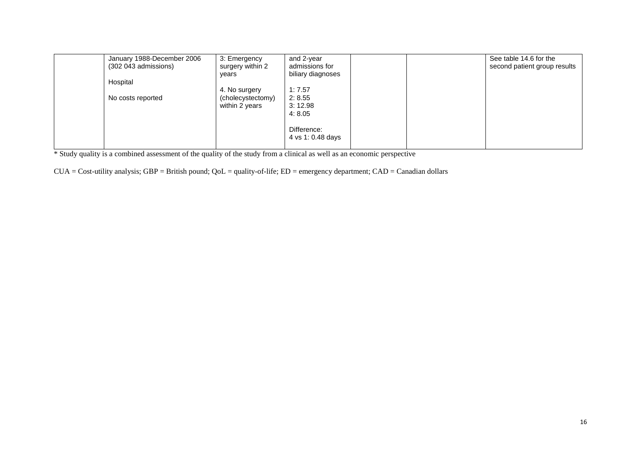| (302 043 admissions) | January 1988-December 2006<br>3: Emergency<br>surgery within 2<br>vears | and 2-year<br>admissions for<br>biliary diagnoses |  | See table 14.6 for the<br>second patient group results |
|----------------------|-------------------------------------------------------------------------|---------------------------------------------------|--|--------------------------------------------------------|
| Hospital             |                                                                         |                                                   |  |                                                        |
|                      | 4. No surgery                                                           | 1:7.57                                            |  |                                                        |
| No costs reported    | (cholecystectomy)                                                       | 2:8.55                                            |  |                                                        |
|                      | within 2 years                                                          | 3:12.98                                           |  |                                                        |
|                      |                                                                         | 4:8.05                                            |  |                                                        |
|                      |                                                                         |                                                   |  |                                                        |
|                      |                                                                         | Difference:                                       |  |                                                        |
|                      |                                                                         | 4 vs 1: 0.48 days                                 |  |                                                        |
|                      |                                                                         |                                                   |  |                                                        |

\* Study quality is a combined assessment of the quality of the study from a clinical as well as an economic perspective

 $CUA = Cost-utility$  analysis;  $GBP = British$  pound;  $QoL = quality-of-life$ ;  $ED = emergency$  department;  $CAD = Canadian$  dollars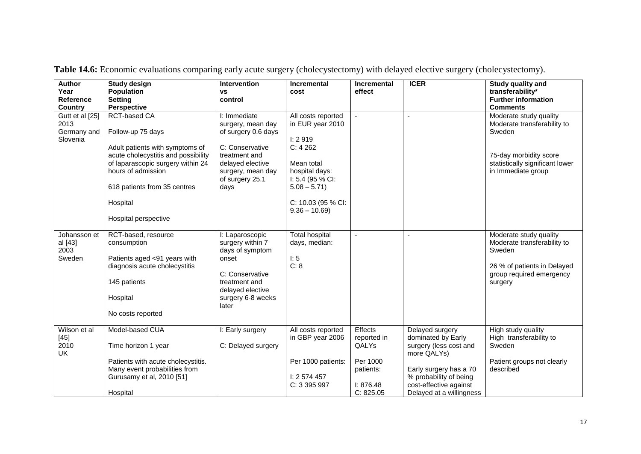| <b>Author</b><br>Year<br><b>Reference</b><br><b>Country</b> | Study design<br><b>Population</b><br><b>Setting</b><br><b>Perspective</b>                                                                                                                                                                         | Intervention<br><b>VS</b><br>control                                                                                                                             | <b>Incremental</b><br>cost                                                                                                                                                | <b>Incremental</b><br>effect                                                              | <b>ICER</b>                                                                                                                                                                              | Study quality and<br>transferability*<br><b>Further information</b><br><b>Comments</b>                                                             |
|-------------------------------------------------------------|---------------------------------------------------------------------------------------------------------------------------------------------------------------------------------------------------------------------------------------------------|------------------------------------------------------------------------------------------------------------------------------------------------------------------|---------------------------------------------------------------------------------------------------------------------------------------------------------------------------|-------------------------------------------------------------------------------------------|------------------------------------------------------------------------------------------------------------------------------------------------------------------------------------------|----------------------------------------------------------------------------------------------------------------------------------------------------|
| Gutt et al [25]<br>2013<br>Germany and<br>Slovenia          | <b>RCT-based CA</b><br>Follow-up 75 days<br>Adult patients with symptoms of<br>acute cholecystitis and possibility<br>of laparascopic surgery within 24<br>hours of admission<br>618 patients from 35 centres<br>Hospital<br>Hospital perspective | I: Immediate<br>surgery, mean day<br>of surgery 0.6 days<br>C: Conservative<br>treatment and<br>delayed elective<br>surgery, mean day<br>of surgery 25.1<br>days | All costs reported<br>in EUR year 2010<br>I: 2919<br>C: 4262<br>Mean total<br>hospital days:<br>I: 5.4 (95 % CI:<br>$5.08 - 5.71$<br>C: 10.03 (95 % CI:<br>$9.36 - 10.69$ |                                                                                           |                                                                                                                                                                                          | Moderate study quality<br>Moderate transferability to<br>Sweden<br>75-day morbidity score<br>statistically significant lower<br>in Immediate group |
| Johansson et<br>al [43]<br>2003<br>Sweden                   | RCT-based, resource<br>consumption<br>Patients aged <91 years with<br>diagnosis acute cholecystitis<br>145 patients<br>Hospital<br>No costs reported                                                                                              | I: Laparoscopic<br>surgery within 7<br>days of symptom<br>onset<br>C: Conservative<br>treatment and<br>delayed elective<br>surgery 6-8 weeks<br>later            | <b>Total hospital</b><br>days, median:<br>l: 5<br>C: 8                                                                                                                    |                                                                                           | $\blacksquare$                                                                                                                                                                           | Moderate study quality<br>Moderate transferability to<br>Sweden<br>26 % of patients in Delayed<br>group required emergency<br>surgery              |
| Wilson et al<br>$[45]$<br>2010<br><b>UK</b>                 | Model-based CUA<br>Time horizon 1 year<br>Patients with acute cholecystitis.<br>Many event probabilities from<br>Gurusamy et al, 2010 [51]<br>Hospital                                                                                            | I: Early surgery<br>C: Delayed surgery                                                                                                                           | All costs reported<br>in GBP year 2006<br>Per 1000 patients:<br>I: 2574457<br>C: 3 395 997                                                                                | <b>Effects</b><br>reported in<br>QALYs<br>Per 1000<br>patients:<br>I: 876.48<br>C: 825.05 | Delayed surgery<br>dominated by Early<br>surgery (less cost and<br>more QALYs)<br>Early surgery has a 70<br>% probability of being<br>cost-effective against<br>Delayed at a willingness | High study quality<br>High transferability to<br>Sweden<br>Patient groups not clearly<br>described                                                 |

**Table 14.6:** Economic evaluations comparing early acute surgery (cholecystectomy) with delayed elective surgery (cholecystectomy).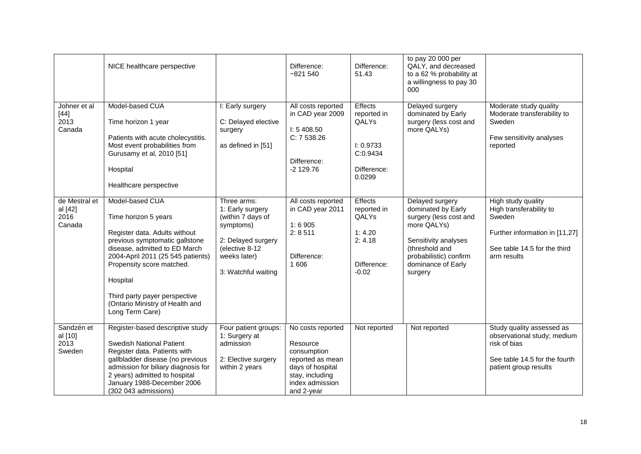|                                            | NICE healthcare perspective                                                                                                                                                                                                                                                                                      |                                                                                                                                                  | Difference:<br>$-821540$                                                                                                                 | Difference:<br>51.43                                                                  | to pay 20 000 per<br>QALY, and decreased<br>to a 62 % probability at<br>a willingness to pay 30<br>000                                                                              |                                                                                                                                          |
|--------------------------------------------|------------------------------------------------------------------------------------------------------------------------------------------------------------------------------------------------------------------------------------------------------------------------------------------------------------------|--------------------------------------------------------------------------------------------------------------------------------------------------|------------------------------------------------------------------------------------------------------------------------------------------|---------------------------------------------------------------------------------------|-------------------------------------------------------------------------------------------------------------------------------------------------------------------------------------|------------------------------------------------------------------------------------------------------------------------------------------|
| Johner et al<br>$[44]$<br>2013<br>Canada   | Model-based CUA<br>Time horizon 1 year<br>Patients with acute cholecystitis.<br>Most event probabilities from<br>Gurusamy et al, 2010 [51]<br>Hospital<br>Healthcare perspective                                                                                                                                 | I: Early surgery<br>C: Delayed elective<br>surgery<br>as defined in [51]                                                                         | All costs reported<br>in CAD year 2009<br>I: 5408.50<br>C: 7 538.26<br>Difference:<br>$-2$ 129.76                                        | Effects<br>reported in<br>QALYs<br>I: 0.9733<br>C:0.9434<br>Difference:<br>0.0299     | Delayed surgery<br>dominated by Early<br>surgery (less cost and<br>more QALYs)                                                                                                      | Moderate study quality<br>Moderate transferability to<br>Sweden<br>Few sensitivity analyses<br>reported                                  |
| de Mestral et<br>al [42]<br>2016<br>Canada | Model-based CUA<br>Time horizon 5 years<br>Register data. Adults without<br>previous symptomatic gallstone<br>disease, admitted to ED March<br>2004-April 2011 (25 545 patients)<br>Propensity score matched.<br>Hospital<br>Third party payer perspective<br>(Ontario Ministry of Health and<br>Long Term Care) | Three arms:<br>1: Early surgery<br>(within 7 days of<br>symptoms)<br>2: Delayed surgery<br>(elective 8-12<br>weeks later)<br>3: Watchful waiting | All costs reported<br>in CAD year 2011<br>1:6905<br>2:8511<br>Difference:<br>1 60 6                                                      | <b>Effects</b><br>reported in<br>QALYs<br>1:4.20<br>2: 4.18<br>Difference:<br>$-0.02$ | Delayed surgery<br>dominated by Early<br>surgery (less cost and<br>more QALYs)<br>Sensitivity analyses<br>(threshold and<br>probabilistic) confirm<br>dominance of Early<br>surgery | High study quality<br>High transferability to<br>Sweden<br>Further information in [11,27]<br>See table 14.5 for the third<br>arm results |
| Sandzén et<br>al [10]<br>2013<br>Sweden    | Register-based descriptive study<br><b>Swedish National Patient</b><br>Register data. Patients with<br>gallbladder disease (no previous<br>admission for biliary diagnosis for<br>2 years) admitted to hospital<br>January 1988-December 2006<br>(302 043 admissions)                                            | Four patient groups:<br>1: Surgery at<br>admission<br>2: Elective surgery<br>within 2 years                                                      | No costs reported<br>Resource<br>consumption<br>reported as mean<br>days of hospital<br>stay, including<br>index admission<br>and 2-year | Not reported                                                                          | Not reported                                                                                                                                                                        | Study quality assessed as<br>observational study; medium<br>risk of bias<br>See table 14.5 for the fourth<br>patient group results       |